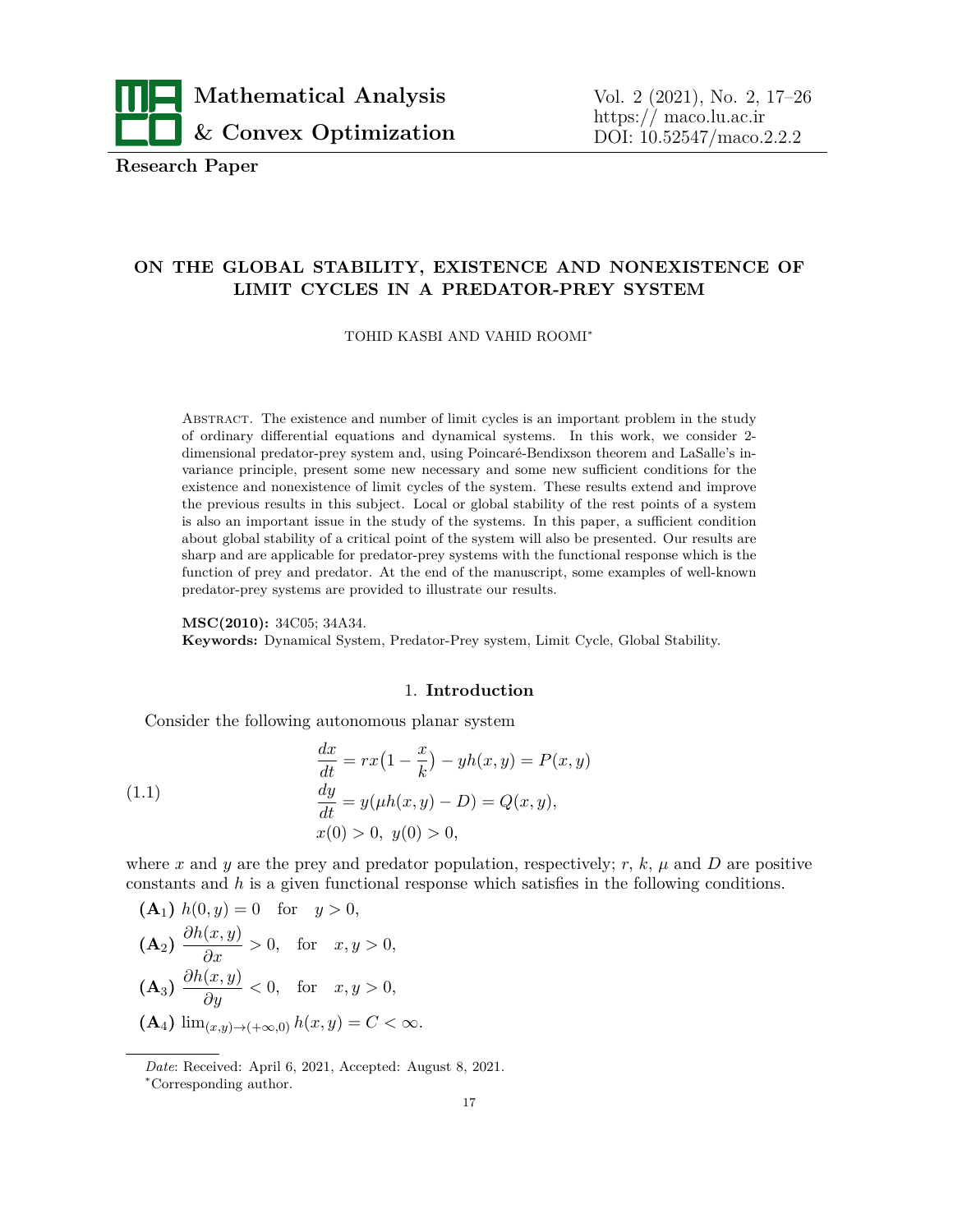

**Research Paper**

# **ON THE GLOBAL STABILITY, EXISTENCE AND NONEXISTENCE OF LIMIT CYCLES IN A PREDATOR-PREY SYSTEM**

TOHID KASBI AND VAHID ROOMI*<sup>∗</sup>*

Abstract. The existence and number of limit cycles is an important problem in the study of ordinary differential equations and dynamical systems. In this work, we consider 2 dimensional predator-prey system and, using Poincaré-Bendixson theorem and LaSalle's invariance principle, present some new necessary and some new sufficient conditions for the existence and nonexistence of limit cycles of the system. These results extend and improve the previous results in this subject. Local or global stability of the rest points of a system is also an important issue in the study of the systems. In this paper, a sufficient condition about global stability of a critical point of the system will also be presented. Our results are sharp and are applicable for predator-prey systems with the functional response which is the function of prey and predator. At the end of the manuscript, some examples of well-known predator-prey systems are provided to illustrate our results.

**MSC(2010):** 34C05; 34A34. **Keywords:** Dynamical System, Predator-Prey system, Limit Cycle, Global Stability.

### <span id="page-0-0"></span>1. **Introduction**

Consider the following autonomous planar system

(1.1) 
$$
\frac{dx}{dt} = rx(1 - \frac{x}{k}) - yh(x, y) = P(x, y)
$$

$$
\frac{dy}{dt} = y(\mu h(x, y) - D) = Q(x, y),
$$

$$
x(0) > 0, y(0) > 0,
$$

where *x* and *y* are the prey and predator population, respectively; *r*, *k*,  $\mu$  and *D* are positive constants and *h* is a given functional response which satisfies in the following conditions.

\n- $$
(A_1) h(0, y) = 0
$$
 for  $y > 0$ ,
\n- $(A_2) \frac{\partial h(x, y)}{\partial x} > 0$ , for  $x, y > 0$ ,
\n- $(A_3) \frac{\partial h(x, y)}{\partial y} < 0$ , for  $x, y > 0$ ,
\n- $(A_4) \lim_{(x, y) \to (+\infty, 0)} h(x, y) = C < \infty$ .
\n

*Date*: Received: April 6, 2021, Accepted: August 8, 2021.

*<sup>∗</sup>*Corresponding author.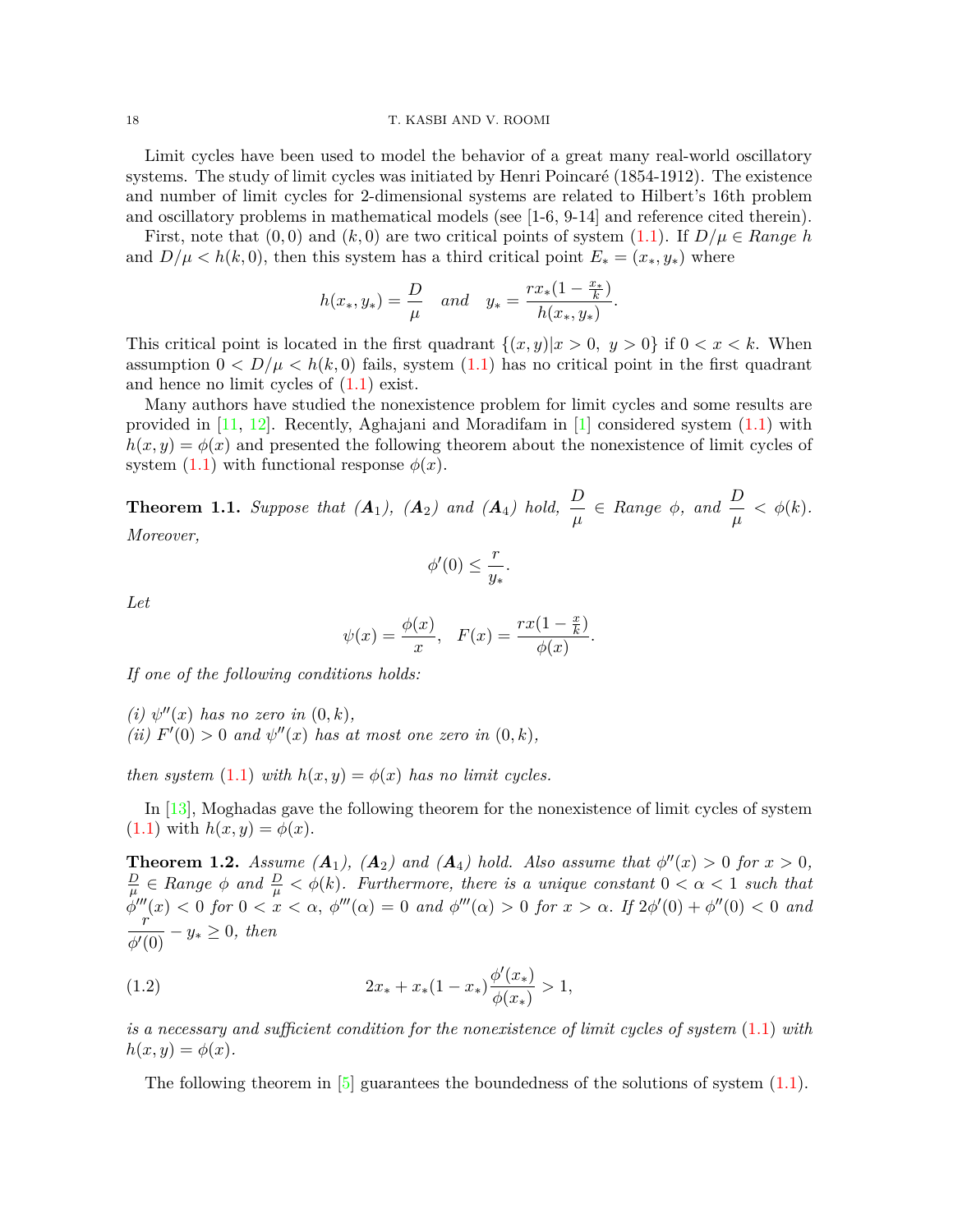#### 18 T. KASBI AND V. ROOMI

Limit cycles have been used to model the behavior of a great many real-world oscillatory systems. The study of limit cycles was initiated by Henri Poincaré (1854-1912). The existence and number of limit cycles for 2-dimensional systems are related to Hilbert's 16th problem and oscillatory problems in mathematical models (see [1-6, 9-14] and reference cited therein).

First, note that  $(0,0)$  and  $(k,0)$  are two critical points of system  $(1.1)$  $(1.1)$ . If  $D/\mu \in Range h$ and  $D/\mu < h(k, 0)$ , then this system has a third critical point  $E_* = (x_*, y_*)$  where

$$
h(x_*, y_*) = \frac{D}{\mu}
$$
 and  $y_* = \frac{rx_*(1 - \frac{x_*}{k})}{h(x_*, y_*)}$ .

This critical point is located in the first quadrant  $\{(x, y)|x > 0, y > 0\}$  if  $0 < x < k$ . When assumption  $0 < D/\mu < h(k,0)$  fails, system  $(1.1)$  $(1.1)$  has no critical point in the first quadrant and hence no limit cycles of [\(1.1](#page-0-0)) exist.

Many authors have studied the nonexistence problem for limit cycles and some results are provided in [\[11](#page-8-0), [12](#page-8-1)]. Recently, Aghajani and Moradifam in [[1](#page-8-2)] considered system ([1.1\)](#page-0-0) with  $h(x, y) = \phi(x)$  and presented the following theorem about the nonexistence of limit cycles of system  $(1.1)$  $(1.1)$  with functional response  $\phi(x)$ .

<span id="page-1-0"></span>**Theorem 1.1.** Suppose that  $(A_1)$ ,  $(A_2)$  and  $(A_4)$  hold,  $\frac{D}{\mu} \in Range \phi$ , and  $\frac{D}{\mu} < \phi(k)$ . *Moreover,*

$$
\phi'(0) \le \frac{r}{y_*}.
$$

*Let*

$$
\psi(x) = \frac{\phi(x)}{x}, \quad F(x) = \frac{rx(1 - \frac{x}{k})}{\phi(x)}.
$$

*If one of the following conditions holds:*

 $(i)$   $\psi''(x)$  has no zero in  $(0, k)$ ,  $(iii)$   $F'(0) > 0$  *and*  $\psi''(x)$  *has at most one zero in*  $(0, k)$ *,* 

*then system*  $(1.1)$  $(1.1)$  *with*  $h(x, y) = \phi(x)$  *has no limit cycles.* 

In [\[13](#page-8-3)], Moghadas gave the following theorem for the nonexistence of limit cycles of system  $(1.1)$  $(1.1)$  with  $h(x, y) = \phi(x)$ .

<span id="page-1-1"></span>**Theorem 1.2.** *Assume*  $(A_1)$ ,  $(A_2)$  *and*  $(A_4)$  *hold. Also assume that*  $\phi''(x) > 0$  *for*  $x > 0$ *, D*  $\frac{D}{\mu} \in Range \, \phi \, \text{ and } \frac{D}{\mu} < \phi(k)$ . Furthermore, there is a unique constant  $0 < \alpha < 1$  such that  $\phi'''(x) < 0$  for  $0 < x < \alpha$ ,  $\phi'''(\alpha) = 0$  and  $\phi'''(\alpha) > 0$  for  $x > \alpha$ . If  $2\phi'(0) + \phi''(0) < 0$  and *r*  $\frac{y}{\phi'(0)} - y_* \ge 0$ , then

(1.2) 
$$
2x_* + x_*(1-x_*)\frac{\phi'(x_*)}{\phi(x_*)} > 1,
$$

*is a necessary and sufficient condition for the nonexistence of limit cycles of system* ([1.1\)](#page-0-0) *with*  $h(x, y) = \phi(x)$ .

The following theorem in  $[5]$  $[5]$  $[5]$  guarantees the boundedness of the solutions of system  $(1.1)$  $(1.1)$ .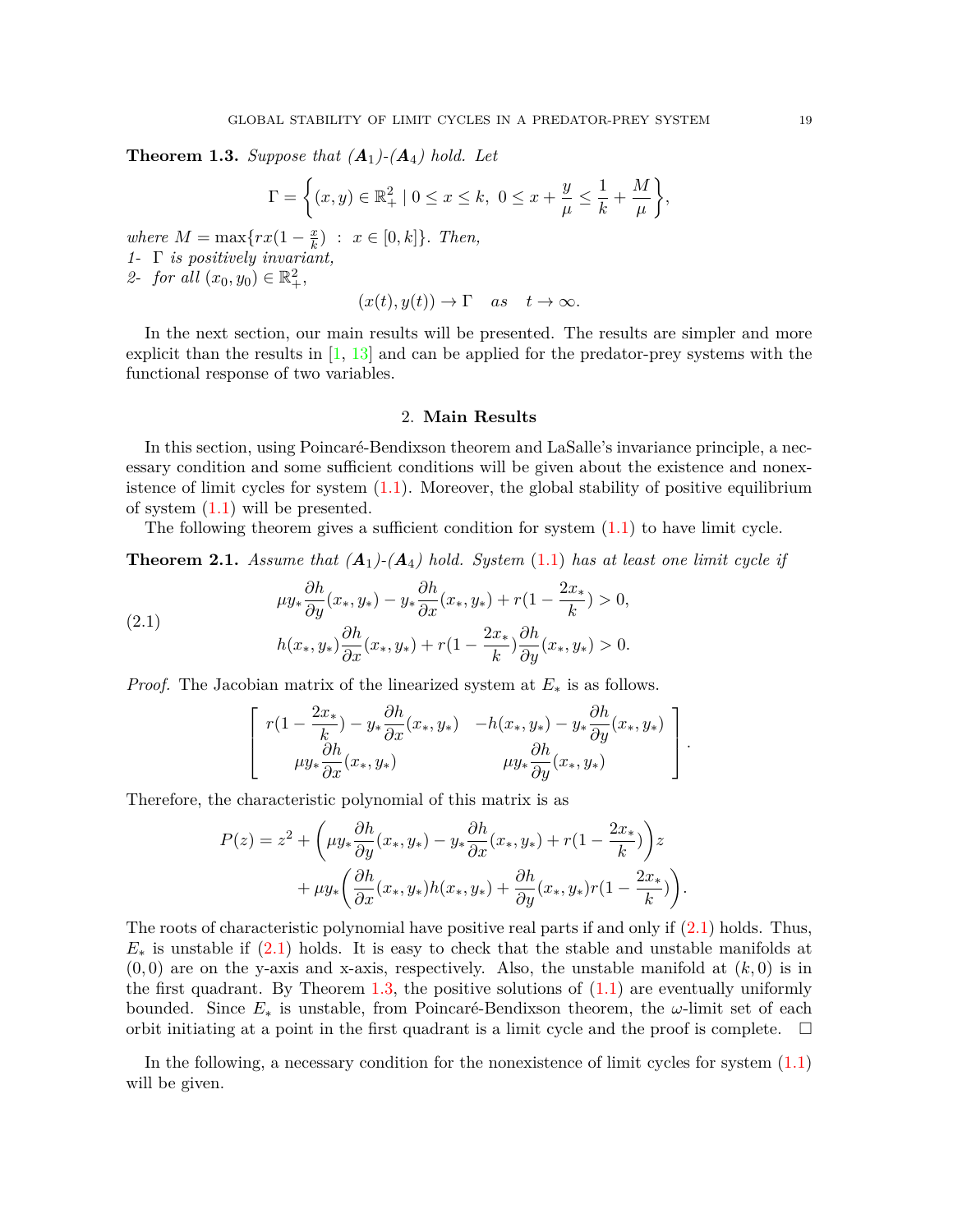<span id="page-2-1"></span>**Theorem 1.3.** *Suppose that*  $(A_1)$ - $(A_4)$  *hold. Let* 

$$
\Gamma = \left\{ (x, y) \in \mathbb{R}_+^2 \mid 0 \le x \le k, \ 0 \le x + \frac{y}{\mu} \le \frac{1}{k} + \frac{M}{\mu} \right\},\
$$

*where*  $M = \max\{rx(1 - \frac{x}{k})\}$  $\frac{x}{k}$  :  $x \in [0, k]$ *}. Then, 1-* Γ *is positively invariant,* 2- *for all*  $(x_0, y_0) \in \mathbb{R}^2_+,$ 

$$
(x(t), y(t)) \to \Gamma
$$
 as  $t \to \infty$ .

In the next section, our main results will be presented. The results are simpler and more explicit than the results in  $\left[1, 13\right]$  $\left[1, 13\right]$  $\left[1, 13\right]$  and can be applied for the predator-prey systems with the functional response of two variables.

#### 2. **Main Results**

In this section, using Poincaré-Bendixson theorem and LaSalle's invariance principle, a necessary condition and some sufficient conditions will be given about the existence and nonexistence of limit cycles for system ([1.1\)](#page-0-0). Moreover, the global stability of positive equilibrium of system ([1.1\)](#page-0-0) will be presented.

The following theorem gives a sufficient condition for system  $(1.1)$  $(1.1)$  $(1.1)$  to have limit cycle.

<span id="page-2-2"></span>**Theorem 2.1.** Assume that  $(A_1)$ - $(A_4)$  hold. System [\(1.1](#page-0-0)) has at least one limit cycle if

(2.1) 
$$
\mu y_* \frac{\partial h}{\partial y}(x_*, y_*) - y_* \frac{\partial h}{\partial x}(x_*, y_*) + r(1 - \frac{2x_*}{k}) > 0, h(x_*, y_*) \frac{\partial h}{\partial x}(x_*, y_*) + r(1 - \frac{2x_*}{k}) \frac{\partial h}{\partial y}(x_*, y_*) > 0.
$$

*Proof.* The Jacobian matrix of the linearized system at *E<sup>∗</sup>* is as follows.

<span id="page-2-0"></span>
$$
\left[ \begin{array}{ccc} r(1-\frac{2x_*}{k})-y_*\frac{\partial h}{\partial x}(x_*,y_*) & -h(x_*,y_*)-y_*\frac{\partial h}{\partial y}(x_*,y_*) \\ \mu y_*\frac{\partial h}{\partial x}(x_*,y_*) & \mu y_*\frac{\partial h}{\partial y}(x_*,y_*) \end{array} \right].
$$

Therefore, the characteristic polynomial of this matrix is as

$$
P(z) = z2 + \left(\mu y_* \frac{\partial h}{\partial y}(x_*, y_*) - y_* \frac{\partial h}{\partial x}(x_*, y_*) + r(1 - \frac{2x_*}{k})\right)z
$$
  
+ 
$$
\mu y_* \left(\frac{\partial h}{\partial x}(x_*, y_*)h(x_*, y_*) + \frac{\partial h}{\partial y}(x_*, y_*)r(1 - \frac{2x_*}{k})\right).
$$

The roots of characteristic polynomial have positive real parts if and only if  $(2.1)$  $(2.1)$  holds. Thus, *E<sup>∗</sup>* is unstable if ([2.1\)](#page-2-0) holds. It is easy to check that the stable and unstable manifolds at  $(0,0)$  are on the y-axis and x-axis, respectively. Also, the unstable manifold at  $(k,0)$  is in the first quadrant. By Theorem [1.3,](#page-2-1) the positive solutions of  $(1.1)$  $(1.1)$  are eventually uniformly bounded. Since  $E_*$  is unstable, from Poincaré-Bendixson theorem, the  $\omega$ -limit set of each orbit initiating at a point in the first quadrant is a limit cycle and the proof is complete.  $\Box$ 

In the following, a necessary condition for the nonexistence of limit cycles for system ([1.1\)](#page-0-0) will be given.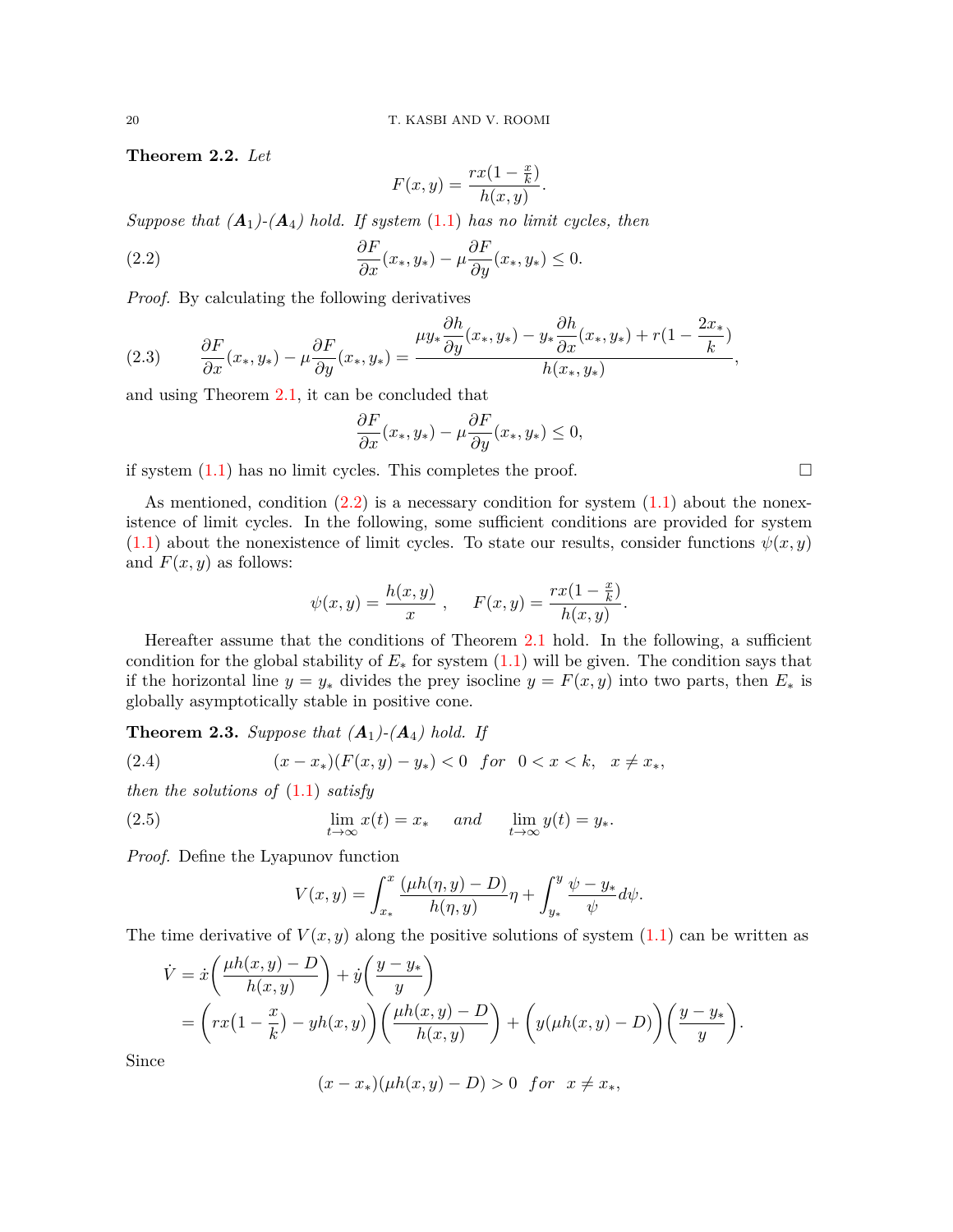<span id="page-3-3"></span>**Theorem 2.2.** *Let*

<span id="page-3-0"></span>
$$
F(x,y) = \frac{rx(1-\frac{x}{k})}{h(x,y)}.
$$

*Suppose that*  $(A_1)$ - $(A_4)$  *hold.* If system  $(1.1)$  $(1.1)$  *has no limit cycles, then* 

(2.2) 
$$
\frac{\partial F}{\partial x}(x_*, y_*) - \mu \frac{\partial F}{\partial y}(x_*, y_*) \leq 0.
$$

*Proof.* By calculating the following derivatives

(2.3) 
$$
\frac{\partial F}{\partial x}(x_*,y_*) - \mu \frac{\partial F}{\partial y}(x_*,y_*) = \frac{\mu y_* \frac{\partial h}{\partial y}(x_*,y_*) - y_* \frac{\partial h}{\partial x}(x_*,y_*) + r(1 - \frac{2x_*}{k})}{h(x_*,y_*)},
$$

and using Theorem [2.1,](#page-2-2) it can be concluded that

$$
\frac{\partial F}{\partial x}(x_*,y_*) - \mu \frac{\partial F}{\partial y}(x_*,y_*) \le 0,
$$

if system  $(1.1)$  $(1.1)$  has no limit cycles. This completes the proof.  $\Box$ 

As mentioned, condition  $(2.2)$  $(2.2)$  is a necessary condition for system  $(1.1)$  about the nonexistence of limit cycles. In the following, some sufficient conditions are provided for system  $(1.1)$  $(1.1)$  about the nonexistence of limit cycles. To state our results, consider functions  $\psi(x, y)$ and  $F(x, y)$  as follows:

$$
\psi(x, y) = \frac{h(x, y)}{x}, \quad F(x, y) = \frac{rx(1 - \frac{x}{k})}{h(x, y)}.
$$

Hereafter assume that the conditions of Theorem [2.1](#page-2-2) hold. In the following, a sufficient condition for the global stability of  $E_*$  for system  $(1.1)$  $(1.1)$  will be given. The condition says that if the horizontal line  $y = y_*$  divides the prey isocline  $y = F(x, y)$  into two parts, then  $E_*$  is globally asymptotically stable in positive cone.

<span id="page-3-4"></span>**Theorem 2.3.** Suppose that  $(A_1)$ - $(A_4)$  hold. If

(2.4) 
$$
(x-x_*)(F(x,y)-y_*)<0 \text{ for } 0 < x < k, \quad x \neq x_*,
$$

*then the solutions of* ([1.1\)](#page-0-0) *satisfy*

(2.5) 
$$
\lim_{t \to \infty} x(t) = x_* \quad \text{and} \quad \lim_{t \to \infty} y(t) = y_*.
$$

*Proof.* Define the Lyapunov function

<span id="page-3-2"></span><span id="page-3-1"></span>
$$
V(x,y) = \int_{x_*}^x \frac{(\mu h(\eta, y) - D)}{h(\eta, y)} \eta + \int_{y_*}^y \frac{\psi - y_*}{\psi} d\psi.
$$

The time derivative of  $V(x, y)$  along the positive solutions of system  $(1.1)$  $(1.1)$  can be written as

$$
\dot{V} = \dot{x} \left( \frac{\mu h(x, y) - D}{h(x, y)} \right) + \dot{y} \left( \frac{y - y_*}{y} \right)
$$
  
= 
$$
\left( rx \left(1 - \frac{x}{k}\right) - yh(x, y)\right) \left( \frac{\mu h(x, y) - D}{h(x, y)} \right) + \left( y(\mu h(x, y) - D) \right) \left( \frac{y - y_*}{y} \right).
$$

Since

$$
(x-x_*)(\mu h(x,y)-D) > 0
$$
 for  $x \neq x_*$ ,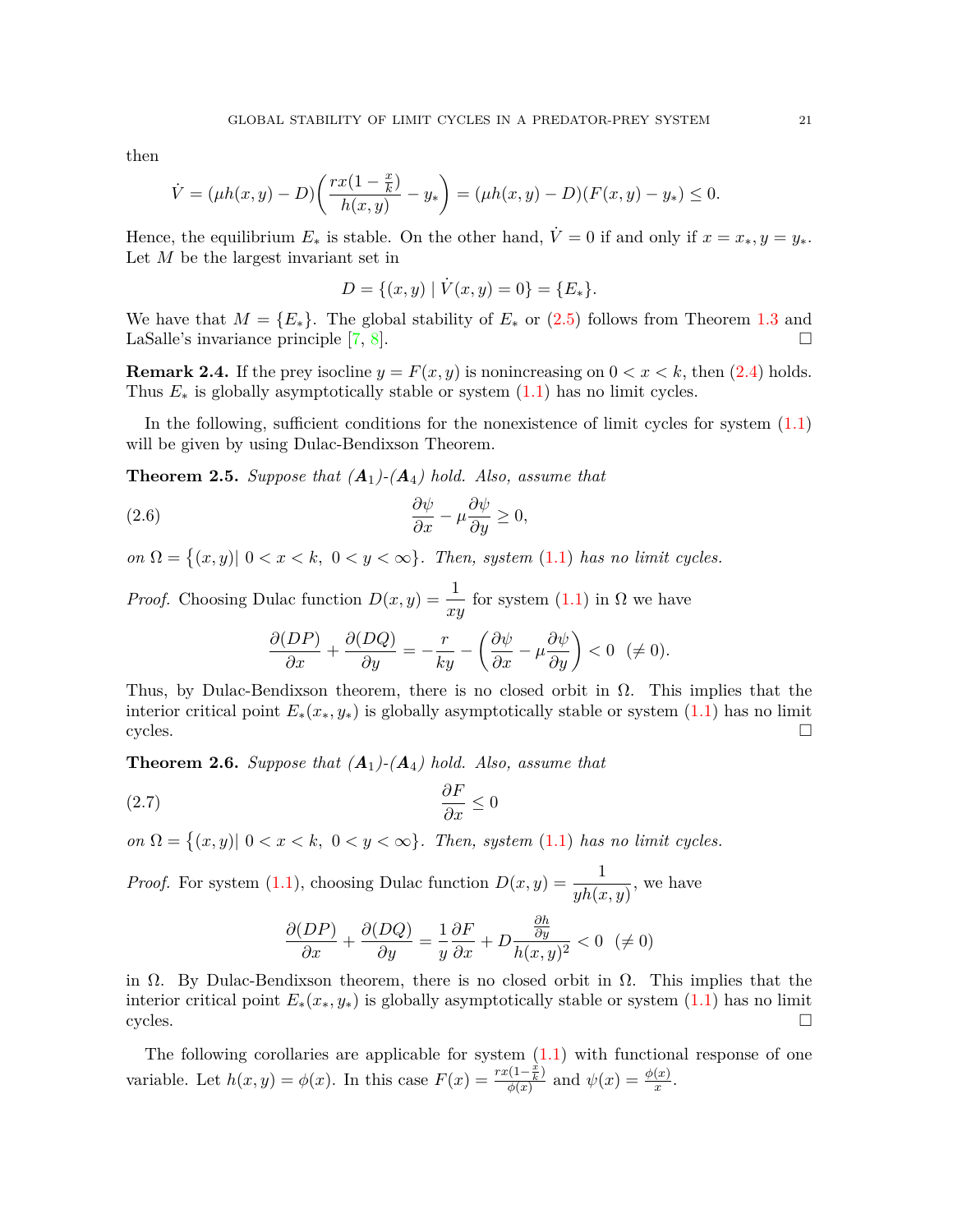then

$$
\dot{V} = (\mu h(x, y) - D) \left( \frac{rx(1 - \frac{x}{k})}{h(x, y)} - y_* \right) = (\mu h(x, y) - D)(F(x, y) - y_*) \le 0.
$$

Hence, the equilibrium  $E_*$  is stable. On the other hand,  $\dot{V}=0$  if and only if  $x=x_*, y=y_*$ . Let *M* be the largest invariant set in

$$
D = \{(x, y) \mid \dot{V}(x, y) = 0\} = \{E_*\}.
$$

We have that  $M = \{E_*\}$ . The global stability of  $E_*$  or ([2.5](#page-3-1)) follows from Theorem [1.3](#page-2-1) and LaSalle's invariance principle [7, 8]. LaSalle's invariance principle  $[7, 8]$  $[7, 8]$ .

**Remark 2.4.** If the prey isocline  $y = F(x, y)$  is nonincreasing on  $0 < x < k$ , then ([2.4\)](#page-3-2) holds. Thus  $E_*$  is globally asymptotically stable or system  $(1.1)$  $(1.1)$  has no limit cycles.

In the following, sufficient conditions for the nonexistence of limit cycles for system ([1.1\)](#page-0-0) will be given by using Dulac-Bendixson Theorem.

<span id="page-4-0"></span>**Theorem 2.5.** Suppose that  $(A_1)$ - $(A_4)$  hold. Also, assume that

(2.6) 
$$
\frac{\partial \psi}{\partial x} - \mu \frac{\partial \psi}{\partial y} \ge 0,
$$

 $\mathcal{O}(n \Omega = \{(x, y) | 0 < x < k, 0 < y < \infty\}$ . Then, system [\(1.1](#page-0-0)) has no limit cycles.

*Proof.* Choosing Dulac function  $D(x, y) = \frac{1}{xy}$  for system ([1.1\)](#page-0-0) in  $\Omega$  we have

$$
\frac{\partial (DP)}{\partial x} + \frac{\partial (DQ)}{\partial y} = -\frac{r}{ky} - \left(\frac{\partial \psi}{\partial x} - \mu \frac{\partial \psi}{\partial y}\right) < 0 \ \ (\neq 0).
$$

Thus, by Dulac-Bendixson theorem, there is no closed orbit in  $\Omega$ . This implies that the interior critical point  $E_*(x_*, y_*)$  is globally asymptotically stable or system ([1.1\)](#page-0-0) has no limit cycles. cycles.  $\Box$ 

<span id="page-4-1"></span>**Theorem 2.6.** Suppose that  $(A_1)$ - $(A_4)$  hold. Also, assume that

$$
\frac{\partial F}{\partial x} \le 0
$$

 $\mathcal{O}(n \Omega = \{(x, y) | 0 < x < k, 0 < y < \infty\}$ . Then, system [\(1.1](#page-0-0)) has no limit cycles.

*Proof.* For system ([1.1\)](#page-0-0), choosing Dulac function  $D(x, y) = \frac{1}{yh(x, y)}$ , we have

$$
\frac{\partial (DP)}{\partial x} + \frac{\partial (DQ)}{\partial y} = \frac{1}{y} \frac{\partial F}{\partial x} + D \frac{\frac{\partial h}{\partial y}}{h(x, y)^2} < 0 \ \ (\neq 0)
$$

in  $\Omega$ . By Dulac-Bendixson theorem, there is no closed orbit in  $\Omega$ . This implies that the interior critical point  $E_*(x_*, y_*)$  is globally asymptotically stable or system ([1.1\)](#page-0-0) has no limit cycles. cycles.  $\Box$ 

The following corollaries are applicable for system  $(1.1)$  $(1.1)$  $(1.1)$  with functional response of one variable. Let  $h(x, y) = \phi(x)$ . In this case  $F(x) = \frac{rx(1-\frac{x}{k})}{\phi(x)}$  $\frac{\psi(1-\frac{x}{k})}{\phi(x)}$  and  $\psi(x) = \frac{\phi(x)}{x}$ .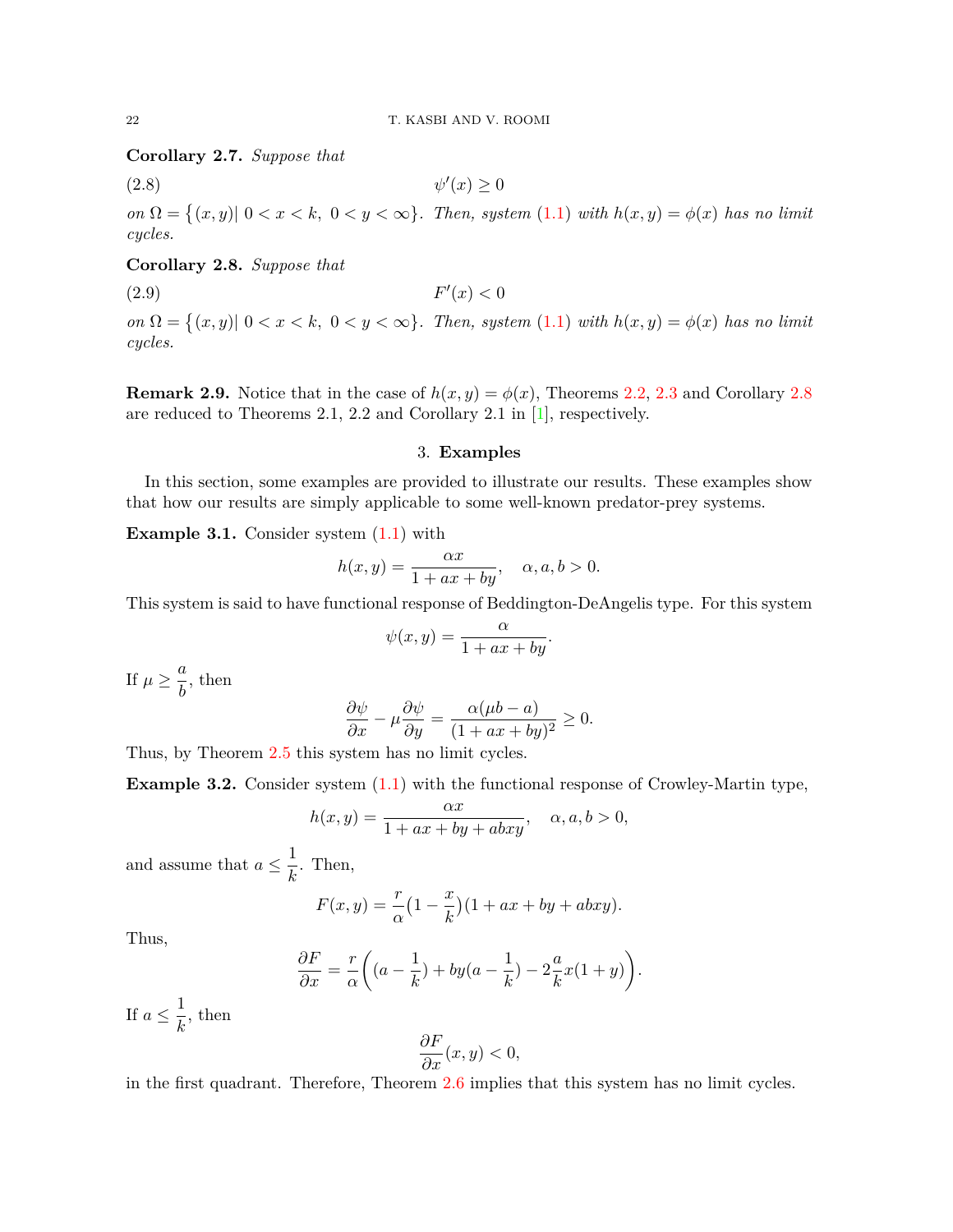<span id="page-5-1"></span>**Corollary 2.7.** *Suppose that*

 $(2.8)$   $\psi$ *′* (*x*) *≥* 0

 $\partial \Omega = \{(x, y) | 0 < x < k, 0 < y < \infty\}$ . Then, system [\(1.1](#page-0-0)) with  $h(x, y) = \phi(x)$  has no limit *cycles.*

## <span id="page-5-0"></span>**Corollary 2.8.** *Suppose that*

(2.9) *F*  $'(x) < 0$ 

 $\partial \Omega = \{(x, y) | 0 < x < k, 0 < y < \infty\}$ . Then, system [\(1.1](#page-0-0)) with  $h(x, y) = \phi(x)$  has no limit *cycles.*

**Remark 2.9.** Notice that in the case of  $h(x, y) = \phi(x)$ , Theorems [2.2,](#page-3-3) [2.3](#page-3-4) and Corollary [2.8](#page-5-0) are reduced to Theorems 2.1, 2.2 and Corollary 2.1 in [[1\]](#page-8-2), respectively.

### 3. **Examples**

In this section, some examples are provided to illustrate our results. These examples show that how our results are simply applicable to some well-known predator-prey systems.

<span id="page-5-2"></span>**Example 3.1.** Consider system  $(1.1)$  $(1.1)$  with

$$
h(x,y) = \frac{\alpha x}{1 + ax + by}, \quad \alpha, a, b > 0.
$$

This system is said to have functional response of Beddington-DeAngelis type. For this system

$$
\psi(x,y) = \frac{\alpha}{1 + ax + by}.
$$

If  $\mu \geq \frac{a}{i}$  $\frac{a}{b}$ , then

$$
\frac{\partial \psi}{\partial x} - \mu \frac{\partial \psi}{\partial y} = \frac{\alpha(\mu b - a)}{(1 + ax + by)^2} \ge 0.
$$

Thus, by Theorem [2.5](#page-4-0) this system has no limit cycles.

<span id="page-5-3"></span>**Example 3.2.** Consider system  $(1.1)$  $(1.1)$  with the functional response of Crowley-Martin type,

$$
h(x,y) = \frac{\alpha x}{1 + ax + by + abxy}, \quad \alpha, a, b > 0,
$$

and assume that  $a \leq \frac{1}{b}$  $\frac{1}{k}$ . Then,

$$
F(x,y) = \frac{r}{\alpha} \left(1 - \frac{x}{k}\right) \left(1 + ax + by + abxy\right).
$$

Thus,

$$
\frac{\partial F}{\partial x} = \frac{r}{\alpha} \left( (a - \frac{1}{k}) + by(a - \frac{1}{k}) - 2\frac{a}{k}x(1+y) \right).
$$

If  $a \leq \frac{1}{i}$  $\frac{1}{k}$ , then

$$
\frac{\partial F}{\partial x}(x,y) < 0,
$$

in the first quadrant. Therefore, Theorem [2.6](#page-4-1) implies that this system has no limit cycles.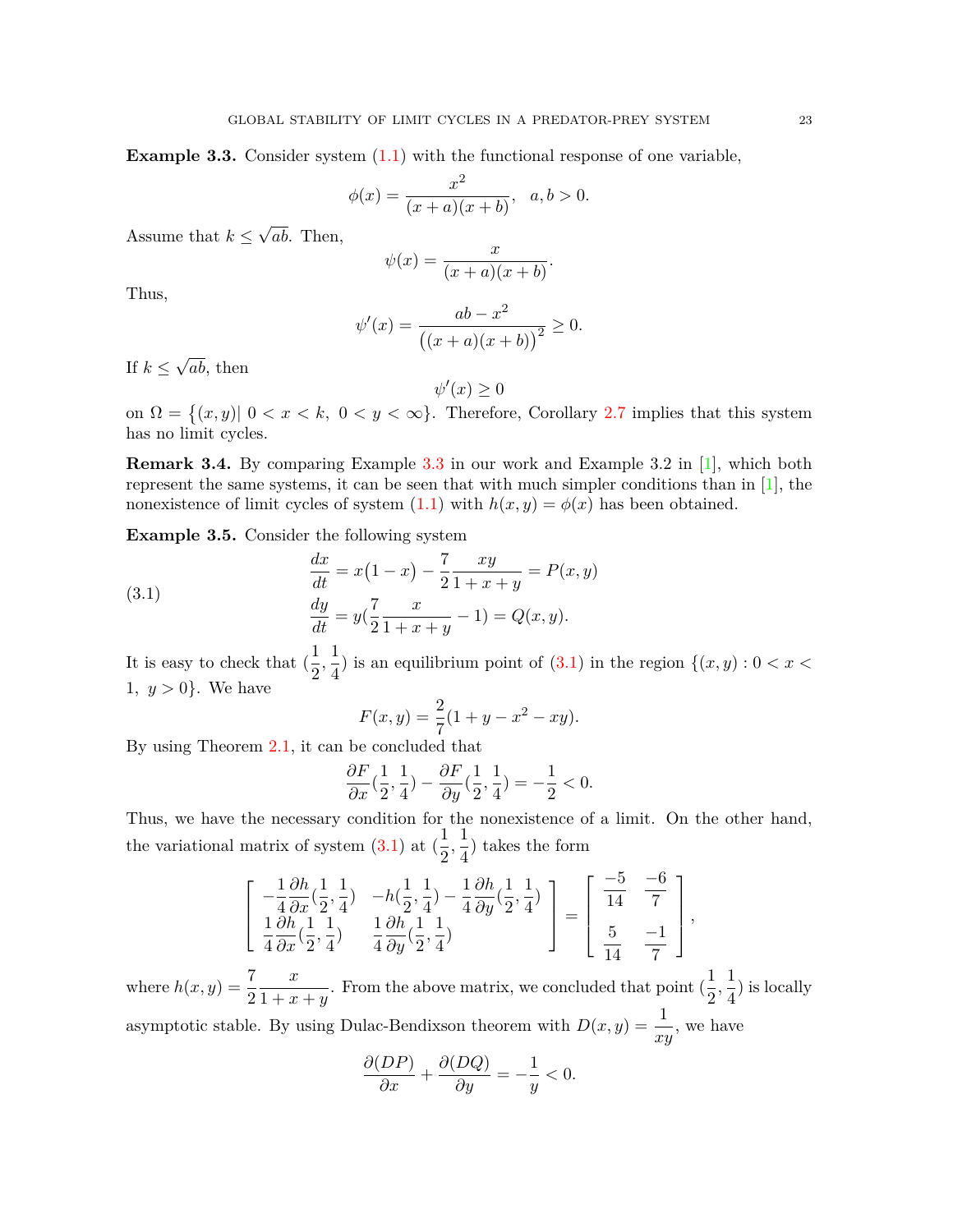<span id="page-6-0"></span>**Example 3.3.** Consider system  $(1.1)$  $(1.1)$  with the functional response of one variable,

$$
\phi(x) = \frac{x^2}{(x+a)(x+b)}, \ \ a, b > 0.
$$

Assume that  $k \leq$ *√ ab*. Then,

$$
\psi(x) = \frac{x}{(x+a)(x+b)}.
$$

Thus,

$$
\psi'(x) = \frac{ab - x^2}{((x + a)(x + b))^2} \ge 0.
$$

If *k ≤ √ ab*, then

$$
\psi'(x) \ge 0
$$

on  $\Omega = \{(x, y) | 0 < x < k, 0 < y < \infty\}$ . Therefore, Corollary [2.7](#page-5-1) implies that this system has no limit cycles.

**Remark 3.4.** By comparing Example [3.3](#page-6-0) in our work and Example 3.2 in [\[1\]](#page-8-2), which both represent the same systems, it can be seen that with much simpler conditions than in [[1](#page-8-2)], the nonexistence of limit cycles of system  $(1.1)$  $(1.1)$  with  $h(x, y) = \phi(x)$  has been obtained.

<span id="page-6-2"></span>**Example 3.5.** Consider the following system

(3.1) 
$$
\frac{dx}{dt} = x(1-x) - \frac{7}{2} \frac{xy}{1+x+y} = P(x,y)
$$

$$
\frac{dy}{dt} = y(\frac{7}{2} \frac{x}{1+x+y} - 1) = Q(x,y).
$$

It is easy to check that  $\left(\frac{1}{2}\right)$  $\frac{1}{2},\frac{1}{4}$  $\frac{1}{4}$ ) is an equilibrium point of [\(3.1](#page-6-1)) in the region  $\{(x, y) : 0 < x <$ 1,  $y > 0$ . We have

<span id="page-6-1"></span>
$$
F(x, y) = \frac{2}{7}(1 + y - x^2 - xy).
$$

By using Theorem [2.1,](#page-2-2) it can be concluded that

$$
\frac{\partial F}{\partial x}(\frac{1}{2},\frac{1}{4}) - \frac{\partial F}{\partial y}(\frac{1}{2},\frac{1}{4}) = -\frac{1}{2} < 0.
$$

Thus, we have the necessary condition for the nonexistence of a limit. On the other hand, the variational matrix of system  $(3.1)$  $(3.1)$  at  $(\frac{1}{2})$  $\frac{1}{2}, \frac{1}{4}$  $\frac{1}{4}$ ) takes the form

$$
\begin{bmatrix} -\frac{1}{4} \frac{\partial h}{\partial x} (\frac{1}{2}, \frac{1}{4}) & -h(\frac{1}{2}, \frac{1}{4}) - \frac{1}{4} \frac{\partial h}{\partial y} (\frac{1}{2}, \frac{1}{4}) \\ \frac{1}{4} \frac{\partial h}{\partial x} (\frac{1}{2}, \frac{1}{4}) & \frac{1}{4} \frac{\partial h}{\partial y} (\frac{1}{2}, \frac{1}{4}) \end{bmatrix} = \begin{bmatrix} -5 & -6 \\ \frac{1}{14} & \frac{-6}{7} \\ \frac{5}{14} & \frac{-1}{7} \end{bmatrix}
$$

*,*

where  $h(x, y) = \frac{7}{2}$ *x*  $\frac{x}{1+x+y}$ . From the above matrix, we concluded that point  $\left(\frac{1}{2}\right)$  $\frac{1}{2}, \frac{1}{4}$  $\frac{1}{4}$ ) is locally asymptotic stable. By using Dulac-Bendixson theorem with  $D(x, y) = \frac{1}{xy}$ , we have

$$
\frac{\partial (DP)}{\partial x} + \frac{\partial (DQ)}{\partial y} = -\frac{1}{y} < 0.
$$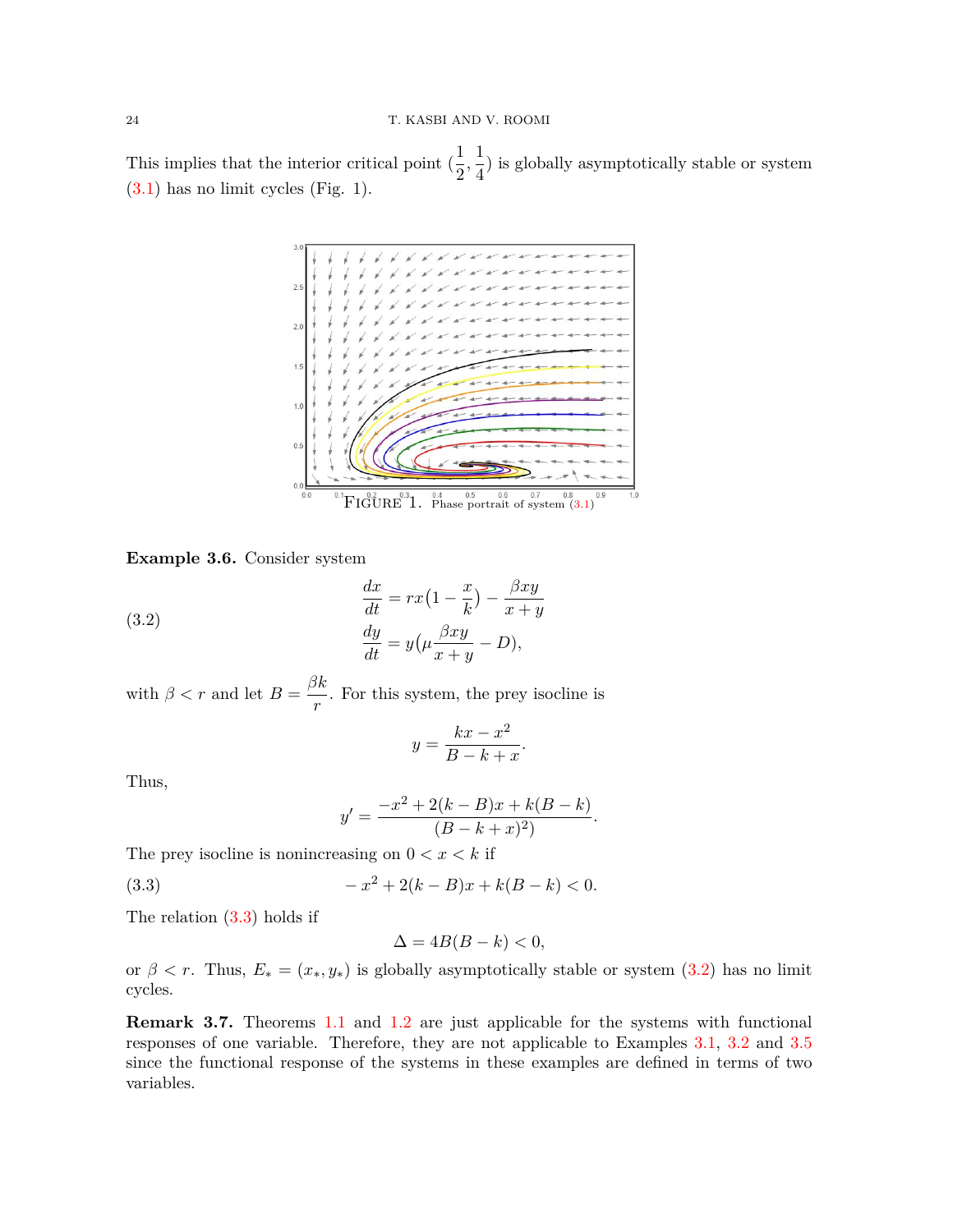This implies that the interior critical point  $\left(\frac{1}{2}\right)$  $\frac{1}{2}, \frac{1}{4}$  $\frac{1}{4}$ ) is globally asymptotically stable or system [\(3.1](#page-6-1)) has no limit cycles (Fig. 1).



**Example 3.6.** Consider system

(3.2) 
$$
\frac{dx}{dt} = rx\left(1 - \frac{x}{k}\right) - \frac{\beta xy}{x + y}
$$

$$
\frac{dy}{dt} = y\left(\mu \frac{\beta xy}{x + y} - D\right),
$$

with  $\beta < r$  and let  $B = \frac{\beta k}{r}$  $\frac{m}{r}$ . For this system, the prey isocline is

<span id="page-7-1"></span>
$$
y = \frac{kx - x^2}{B - k + x}.
$$

Thus,

<span id="page-7-0"></span>
$$
y' = \frac{-x^2 + 2(k - B)x + k(B - k)}{(B - k + x)^2}.
$$

The prey isocline is nonincreasing on  $0 < x < k$  if

(3.3) 
$$
-x^2 + 2(k-B)x + k(B-k) < 0.
$$

The relation  $(3.3)$  $(3.3)$  holds if

$$
\Delta = 4B(B - k) < 0,
$$

or  $\beta < r$ . Thus,  $E_* = (x_*, y_*)$  is globally asymptotically stable or system [\(3.2](#page-7-1)) has no limit cycles.

**Remark 3.7.** Theorems [1.1](#page-1-0) and [1.2](#page-1-1) are just applicable for the systems with functional responses of one variable. Therefore, they are not applicable to Examples [3.1](#page-5-2), [3.2](#page-5-3) and [3.5](#page-6-2) since the functional response of the systems in these examples are defined in terms of two variables.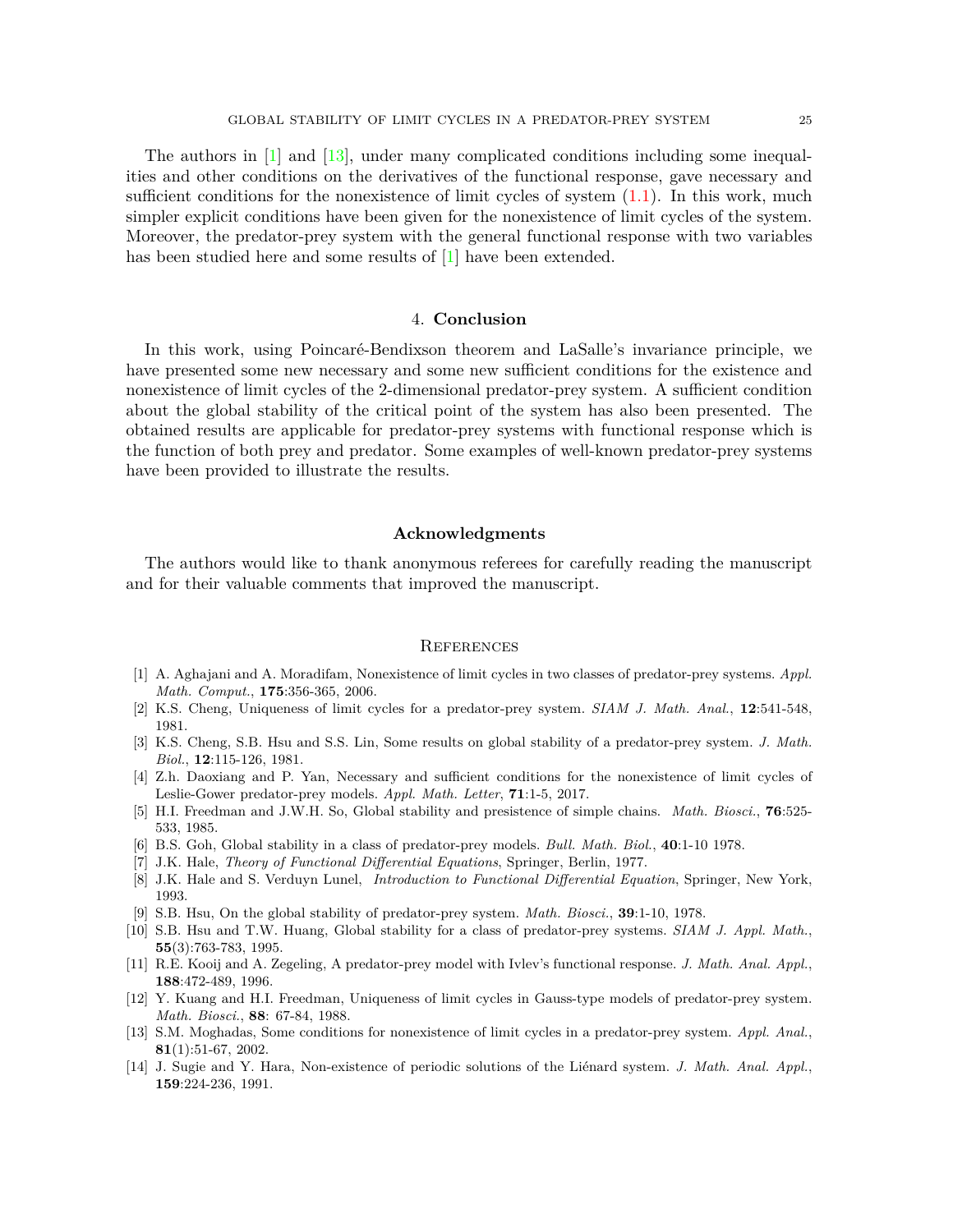The authors in [[1](#page-8-2)] and [\[13](#page-8-3)], under many complicated conditions including some inequalities and other conditions on the derivatives of the functional response, gave necessary and sufficient conditions for the nonexistence of limit cycles of system  $(1.1)$  $(1.1)$ . In this work, much simpler explicit conditions have been given for the nonexistence of limit cycles of the system. Moreover, the predator-prey system with the general functional response with two variables has been studied here and some results of [[1](#page-8-2)] have been extended.

#### 4. **Conclusion**

In this work, using Poincaré-Bendixson theorem and LaSalle's invariance principle, we have presented some new necessary and some new sufficient conditions for the existence and nonexistence of limit cycles of the 2-dimensional predator-prey system. A sufficient condition about the global stability of the critical point of the system has also been presented. The obtained results are applicable for predator-prey systems with functional response which is the function of both prey and predator. Some examples of well-known predator-prey systems have been provided to illustrate the results.

#### **Acknowledgments**

The authors would like to thank anonymous referees for carefully reading the manuscript and for their valuable comments that improved the manuscript.

#### **REFERENCES**

- <span id="page-8-2"></span>[1] A. Aghajani and A. Moradifam, Nonexistence of limit cycles in two classes of predator-prey systems. *Appl. Math. Comput.*, **175**:356-365, 2006.
- [2] K.S. Cheng, Uniqueness of limit cycles for a predator-prey system. *SIAM J. Math. Anal.*, **12**:541-548, 1981.
- [3] K.S. Cheng, S.B. Hsu and S.S. Lin, Some results on global stability of a predator-prey system. *J. Math. Biol.*, **12**:115-126, 1981.
- [4] Z.h. Daoxiang and P. Yan, Necessary and sufficient conditions for the nonexistence of limit cycles of Leslie-Gower predator-prey models. *Appl. Math. Letter*, **71**:1-5, 2017.
- <span id="page-8-4"></span>[5] H.I. Freedman and J.W.H. So, Global stability and presistence of simple chains. *Math. Biosci.*, **76**:525- 533, 1985.
- [6] B.S. Goh, Global stability in a class of predator-prey models. *Bull. Math. Biol.*, **40**:1-10 1978.
- <span id="page-8-5"></span>[7] J.K. Hale, *Theory of Functional Differential Equations*, Springer, Berlin, 1977.
- <span id="page-8-6"></span>[8] J.K. Hale and S. Verduyn Lunel, *Introduction to Functional Differential Equation*, Springer, New York, 1993.
- [9] S.B. Hsu, On the global stability of predator-prey system. *Math. Biosci.*, **39**:1-10, 1978.
- [10] S.B. Hsu and T.W. Huang, Global stability for a class of predator-prey systems. *SIAM J. Appl. Math.*, **55**(3):763-783, 1995.
- <span id="page-8-0"></span>[11] R.E. Kooij and A. Zegeling, A predator-prey model with Ivlev's functional response. *J. Math. Anal. Appl.*, **188**:472-489, 1996.
- <span id="page-8-1"></span>[12] Y. Kuang and H.I. Freedman, Uniqueness of limit cycles in Gauss-type models of predator-prey system. *Math. Biosci.*, **88**: 67-84, 1988.
- <span id="page-8-3"></span>[13] S.M. Moghadas, Some conditions for nonexistence of limit cycles in a predator-prey system. *Appl. Anal.*, **81**(1):51-67, 2002.
- [14] J. Sugie and Y. Hara, Non-existence of periodic solutions of the Liénard system. *J. Math. Anal. Appl.*, **159**:224-236, 1991.